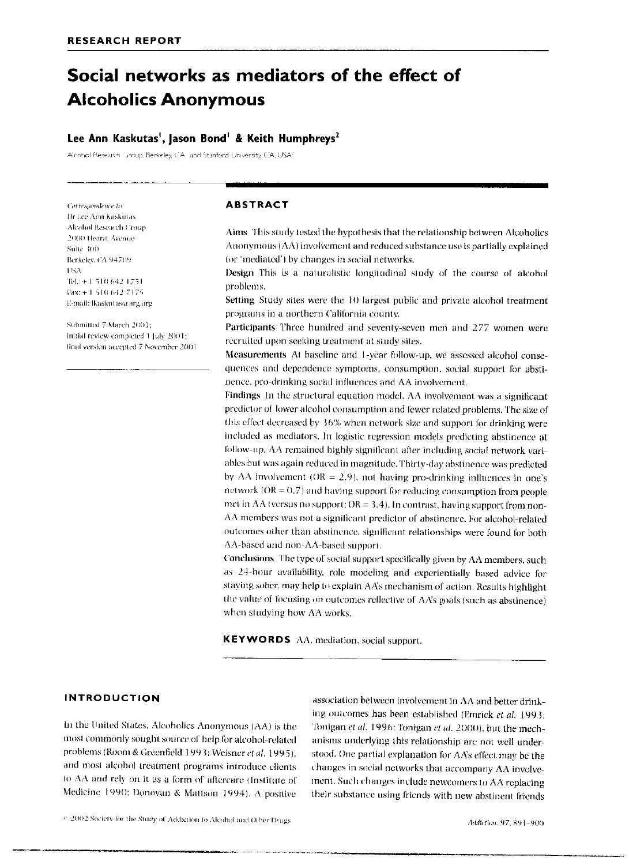# Social networks as mediators of the effect of **Alcoholics Anonymous**

# Lee Ann Kaskutas', Jason Bond' & Keith Humphreys<sup>2</sup>

Alcohol Research Group, Berkeley, CA: and Stanford University, CA, USA:

Correspondence to: Dr Lee Ann Kaskutas Alcohol Research Group 2000 Hearst Avenue Suite 300 Berkeley, CA 94709 **TSA**  $Tol + 15106421751$  $Pax: + 15106427175$ E-mail: Ikaskutas@arg.org

Submitted 7 March 2001; initial review completed 1 July 2001: final version accepted 7 November 2001

## **ABSTRACT**

Aims This study tested the hypothesis that the relationship between Alcoholics Anonymous (AA) involvement and reduced substance use is partially explained (or 'mediated') by changes in social networks.

Design This is a naturalistic longitudinal study of the course of alcohol problems.

Setting Study sites were the 10 largest public and private alcohol treatment programs in a northern California county.

Participants Three hundred and seventy-seven men and 277 women were recruited upon seeking treatment at study sites.

Measurements At baseline and 1-year follow-up, we assessed alcohol consequences and dependence symptoms, consumption, social support for abstinence, pro-drinking social influences and AA involvement.

Findings In the structural equation model. AA involvement was a significant predictor of lower alcohol consumption and fewer related problems. The size of this effect decreased by 36% when network size and support for drinking were included as mediators. In logistic regression models predicting abstinence at follow-up, AA remained highly significant after including social network variables but was again reduced in magnitude. Thirty-day abstinence was predicted by AA involvement ( $OR = 2.9$ ), not having pro-drinking influences in one's network ( $OR = 0.7$ ) and having support for reducing consumption from people met in AA (versus no support;  $OR = 3.4$ ). In contrast, having support from non-AA members was not a significant predictor of abstinence. For alcohol-related outcomes other than abstinence, significant relationships were found for both AA-based and non-AA-based support.

Conclusions The type of social support specifically given by AA members, such as 24-hour availability, role modeling and experientially based advice for staying sober, may help to explain AA's mechanism of action. Results highlight the value of focusing on outcomes reflective of AA's goals (such as abstinence) when studying how AA works.

KEYWORDS AA, mediation, social support.

## **INTRODUCTION**

In the United States, Alcoholics Anonymous (AA) is the most commonly sought source of help for alcohol-related problems (Room & Greenfield 1993; Weisner et al. 1995). and most alcohol treatment programs introduce clients to AA and rely on it as a form of aftercare (Institute of Medicine 1990; Donovan & Mattson 1994). A positive

association between involvement in AA and better drinking outcomes has been established (Emrick et al. 1993; Tonigan et al. 1996; Tonigan et al. 2000), but the mechanisms underlying this relationship are not well understood. One partial explanation for AA's effect may be the changes in social networks that accompany AA involvement. Such changes include newcomers to AA replacing their substance using friends with new abstinent friends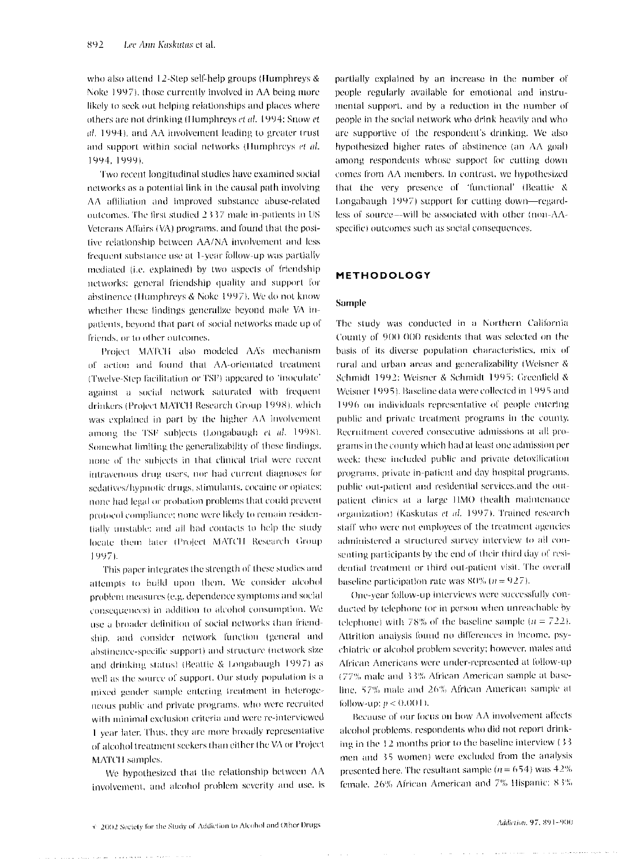who also attend 12-Step self-help groups (Humphreys & Noke 1997), those currently involved in AA being more likely to seek out helping relationships and places where others are not drinking (Humphreys et al. 1994; Snow et al. 1994), and AA involvement leading to greater trust and support within social networks (Humphreys et al. 1994, 1999).

Two recent longitudinal studies have examined social networks as a potential link in the causal path involving AA affiliation and improved substance abuse-related outcomes. The first studied 2337 male in-patients in US Veterans Affairs (VA) programs, and found that the positive relationship between AA/NA involvement and less frequent substance use at 1-year follow-up was partially mediated (i.e. explained) by two aspects of friendship networks; general friendship quality and support for abstinence (Humphreys & Noke 1997). We do not know whether these findings generalize beyond male VA inpatients, beyond that part of social networks made up of friends, or to other outcomes.

Project MATCH also modeled AA's mechanism of action and found that AA-orientated treatment (Twelve-Step facilitation or TSF) appeared to 'inoculate' against a social network saturated with frequent drinkers (Project MATCH Research Group 1998), which was explained in part by the higher AA involvement among the TSF subjects (Longabaugh et al. 1998). Somewhat limiting the generalizability of these findings, none of the subjects in that clinical trial were recent intravenous drug users, nor had current diagnoses for sedatives/hypnotic drugs, stimulants, cocaine or opiates; none had legal or probation problems that could prevent protocol compliance; none were likely to remain residentially unstable; and all had contacts to help the study locate them later (Project MATCH Research Group 1997).

This paper integrates the strength of these studies and attempts to build upon them. We consider alcohol problem measures (e.g. dependence symptoms and social consequences) in addition to alcohol consumption. We use a broader definition of social networks than friendship, and consider network function (general and abstinence-specific support) and structure (network size and drinking status) (Beattie & Longabaugh 1997) as well as the source of support. Our study population is a mixed gender sample entering treatment in heterogeneous public and private programs, who were recruited with minimal exclusion criteria and were re-interviewed I year later. Thus, they are more broadly representative of alcohol treatment seekers than either the VA or Project MATCH samples.

We hypothesized that the relationship between AA involvement, and alcohol problem severity and use, is partially explained by an increase in the number of people regularly available for emotional and instrumental support, and by a reduction in the number of people in the social network who drink heavily and who are supportive of the respondent's drinking. We also hypothesized higher rates of abstinence (an AA goal) among respondents whose support for cutting down comes from AA members. In contrast, we hypothesized that the very presence of 'functional' (Beattie & Longabaugh 1997) support for cutting down—regardless of source--will be associated with other (non-AAspecific) outcomes such as social consequences.

## METHODOLOGY

#### **Sample**

The study was conducted in a Northern California County of 900-000 residents that was selected on the basis of its diverse population characteristics, mix of rural and urban areas and generalizability (Weisner & Schmidt 1992: Weisner & Schmidt 1995: Greenfield & Weisner 1995). Baseline data were collected in 1995 and 1996 on individuals representative of people entering public and private treatment programs in the county. Recruitment covered consecutive admissions at all programs in the county which had at least one admission per week; these included public and private detoxification programs, private in-patient and day hospital programs. public out-patient and residential services, and the outpatient clinics at a large HMO (health maintenance organization) (Kaskutas et al. 1997). Trained research staff who were not employees of the treatment agencies administered a structured survey interview to all consenting participants by the end of their third day of residential treatment or third out-patient visit. The overall baseline participation rate was  $80\%$  ( $n = 927$ ).

One-year follow-up interviews were successfully conducted by telephone (or in person when unreachable by telephone) with 78% of the baseline sample  $(n = 722)$ . Attrition analysis found no differences in income, psychiatric or alcohol problem severity; however, males and African Americans were under-represented at follow-up (77% male and 33% African American sample at baseline, 57% male and 26% African American sample at follow-up:  $p < 0.001$ .

Because of our focus on how AA involvement affects alcohol problems, respondents who did not report drinking in the 12 months prior to the baseline interview (33 men and 35 women) were excluded from the analysis presented here. The resultant sample ( $n = 654$ ) was  $42\%$ female, 26% African American and 7% Hispanic; 83%

ومتوجه والمستويات والتواطئ والتواري والمتارين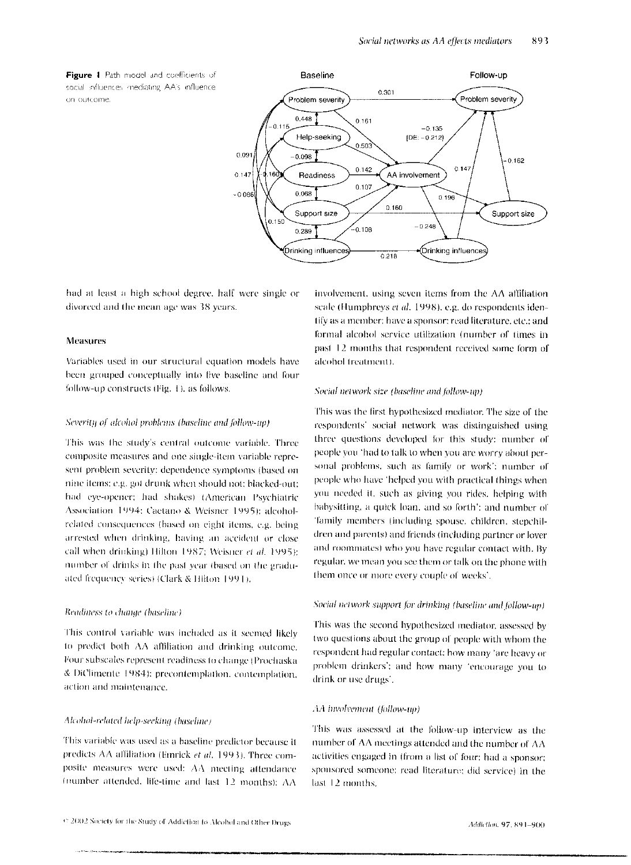



had at least a high school degree, half were single or divorced and the mean age was 38 years.

#### **Measures**

Variables used in our structural equation models have been grouped conceptually into five baseline and four follow-up constructs (Fig. 1), as follows.

## Severity of alcohol problems (baseline and follow-up)

This was the study's central outcome variable. Three composite measures and one single-item variable represent problem severity: dependence symptoms (based on nine items; e.g. got drunk when should not; blacked-out; had eye-opener; had shakes) (American Psychiatric Association 1994; Caetano & Weisner 1995); alcoholrelated consequences (based on eight items, e.g. being arrested when drinking, having an accident or close call when drinking) Hilton 1987; Weisner et al. 1995): number of drinks in the past year (based on the graduated frequency series) (Clark & Hilton 1991).

## Readiness to change (baseline)

This control variable was included as it seemed likely to predict both AA affiliation and drinking outcome. Four subscales represent readiness to change (Prochaska & DiClimente 1984); precontemplation, contemplation, action and maintenance.

#### Alcohol-related help-seeking (baseline)

This variable was used as a baseline predictor because it predicts AA affiliation (Emrick et al. 1993). Three composite measures were used: AA meeting attendance (number attended, life-time and last 12 months); AA involvement, using seven items from the AA affiliation scale (Humphreys et al. 1998), e.g. do respondents identify as a member; have a sponsor; read literature, etc.; and formal alcohol service utilization (number of times in past 12 months that respondent received some form of alcohol treatment).

## Social network size (baseline and follow-up)

This was the first hypothesized mediator. The size of the respondents' social network was distinguished using three questions developed for this study: number of people you 'had to talk to when you are worry about personal problems, such as family or work': number of people who have 'helped you with practical things when you needed it, such as giving you rides, helping with babysitting, a quick loan, and so forth'; and number of 'family members (including spouse, children, stepchildren and parents) and friends (including partner or lover and roommates) who you have regular contact with. By regular, we mean you see them or talk on the phone with them once or more every couple of weeks'.

## Social network support for drinking (baseline and follow-up)

This was the second hypothesized mediator, assessed by two questions about the group of people with whom the respondent had regular contact: how many 'are heavy or problem drinkers'; and how many 'encourage you to drink or use drugs'.

#### AA involvement (follow-up)

This was assessed at the follow-up interview as the number of AA meetings attended and the number of AA activities engaged in (from a list of four; had a sponsor; sponsored someone; read literature; did service) in the last 12 months.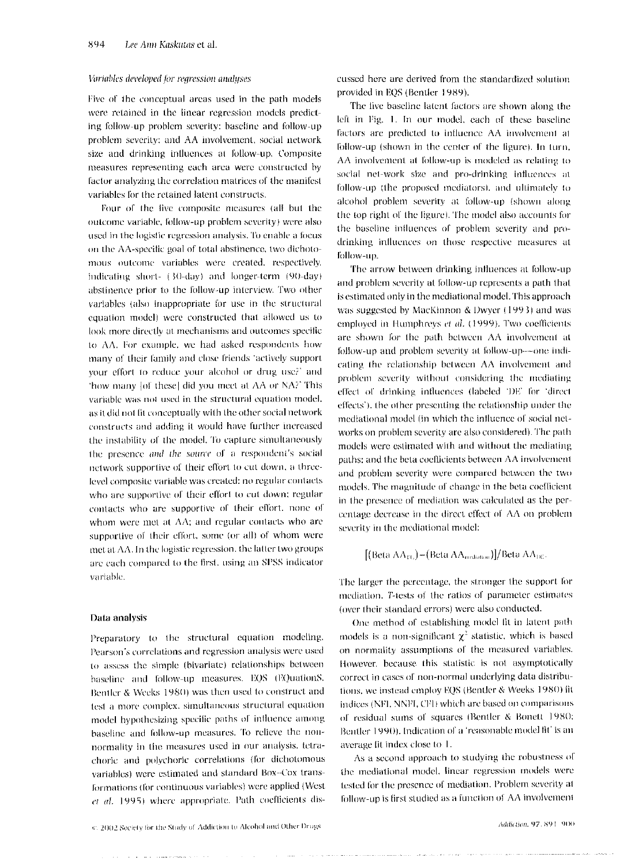## Variables developed for rearession analyses

Five of the conceptual areas used in the path models were retained in the linear regression models predicting follow-up problem severity: baseline and follow-up problem severity; and AA involvement, social network size and drinking influences at follow-up. Composite measures representing each area were constructed by factor analyzing the correlation matrices of the manifest variables for the retained latent constructs.

Four of the five composite measures (all but the outcome variable, follow-up problem severity) were also used in the logistic regression analysis. To enable a focus on the AA-specific goal of total abstinence, two dichotomous outcome variables were created, respectively. indicating short- (30-day) and longer-term (90-day) abstinence prior to the follow-up interview. Two other variables (also inappropriate for use in the structural equation model) were constructed that allowed us to look more directly at mechanisms and outcomes specific to AA. For example, we had asked respondents how many of their family and close friends 'actively support your effort to reduce your alcohol or drug use?' and 'how many [of these] did you meet at AA or NA?' This variable was not used in the structural equation model. as it did not fit conceptually with the other social network constructs and adding it would have further increased the instability of the model. To capture simultaneously the presence and the source of a respondent's social network supportive of their effort to cut down, a threelevel composite variable was created: no regular contacts who are supportive of their effort to cut down; regular contacts who are supportive of their effort, none of whom were met at AA; and regular contacts who are supportive of their effort, some (or all) of whom were met at AA. In the logistic regression, the latter two groups are each compared to the first, using an SPSS indicator variable.

#### Data analysis

Preparatory to the structural equation modeling, Pearson's correlations and regression analysis were used to assess the simple (bivariate) relationships between baseline and follow-up measures. EQS (EQuationS, Bentler & Weeks 1980) was then used to construct and test a more complex, simultaneous structural equation model hypothesizing specific paths of influence among baseline and follow-up measures. To relieve the nonnormality in the measures used in our analysis, tetrachoric and polychoric correlations (for dichotomous variables) were estimated and standard Box-Cox transformations (for continuous variables) were applied (West et al. 1995) where appropriate. Path coefficients discussed here are derived from the standardized solution provided in EOS (Bentler 1989).

The five baseline latent factors are shown along the left in Fig. 1. In our model, each of these baseline factors are predicted to influence AA involvement at follow-up (shown in the center of the figure). In turn, AA involvement at follow-up is modeled as relating to social net-work size and pro-drinking influences at follow-up (the proposed mediators), and ultimately to alcohol problem severity at follow-up (shown along the top right of the figure). The model also accounts for the baseline influences of problem severity and prodrinking influences on those respective measures at follow-up.

The arrow between drinking influences at follow-up and problem severity at follow-up represents a path that is estimated only in the mediational model. This approach was suggested by MacKinnon & Dwyer (1993) and was employed in Humphreys et al. (1999). Two coefficients are shown for the path between AA involvement at follow-up and problem severity at follow-up--one indicating the relationship between AA involvement and problem severity without considering the mediating effect of drinking influences (labeled 'DE' for 'direct effects'), the other presenting the relationship under the mediational model (in which the influence of social networks on problem severity are also considered). The path models were estimated with and without the mediating paths: and the beta coefficients between AA involvement and problem severity were compared between the two models. The magnitude of change in the beta coefficient in the presence of mediation was calculated as the percentage decrease in the direct effect of AA on problem severity in the mediational model:

[(Beta  $AA_{\text{DL}}$ ) – (Beta  $AA_{\text{median}}$ )]/Beta  $AA_{\text{DE}}$ .

The larger the percentage, the stronger the support for mediation. T-tests of the ratios of parameter estimates (over their standard errors) were also conducted.

One method of establishing model fit in latent path models is a non-significant  $\chi^2$  statistic, which is based on normality assumptions of the measured variables. However, because this statistic is not asymptotically correct in cases of non-normal underlying data distributions, we instead employ EQS (Bentler & Weeks 1980) fit indices (NFI, NNFI, CFI) which are based on comparisons of residual sums of squares (Bentler & Bonett 1980; Bentler 1990). Indication of a 'reasonable model fit' is an average fit index close to 1.

As a second approach to studying the robustness of the mediational model, linear regression models were tested for the presence of mediation. Problem severity at follow-up is first studied as a function of AA involvement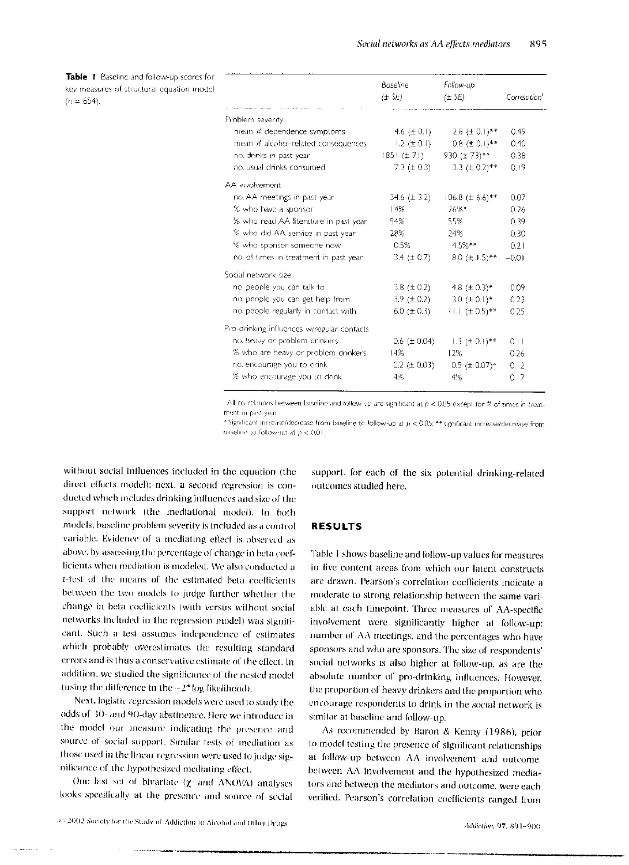| Table I Baseline and follow-up scores for<br>key measures of structural equation model<br>$(n = 654)$ . |                                            | <b>Baseline</b><br>$(\pm 5E)$       | Follow-up<br>$(\pm$ SE)                  | Correlation <sup>1</sup> |
|---------------------------------------------------------------------------------------------------------|--------------------------------------------|-------------------------------------|------------------------------------------|--------------------------|
|                                                                                                         | Problem seventy                            |                                     |                                          |                          |
|                                                                                                         | mean # dependence symptoms                 |                                     | $4.6 \ (\pm 0.1)$ $2.8 \ (\pm 0.1)^{**}$ | 0.49                     |
|                                                                                                         | mean # alcohol-related consequences        | 1.2 ( $\pm$ 0.1) 0.8 ( $\pm$ 0.1)** |                                          | 0.40                     |
|                                                                                                         | no, drinks in past year                    |                                     | $185+(±71)$ 930 (± 73)**                 | 0.38                     |
|                                                                                                         | no, usual drinks consumed                  |                                     | 7.3 ( $\pm$ 0.3) 3.3 ( $\pm$ 0.2)**      | 0.19                     |
|                                                                                                         | AA «volvement                              |                                     |                                          |                          |
|                                                                                                         | no. AA meetings in past year               | 34.6 $(\pm 3.2)$                    | 106.8 $(\pm 6.6)$ **                     | 0.07                     |
|                                                                                                         | % who have a sponsor                       | 14%                                 | $26\%$ <sup>*</sup>                      | 0.26                     |
|                                                                                                         | % who read AA literature in past year      | 54%                                 | 55%                                      | 0.39                     |
|                                                                                                         | % who did AA service in past year          | 28%                                 | 24%                                      | 0.30                     |
|                                                                                                         | % who sponsor someone now                  | 0.5%                                | 4.5%**                                   | 0.21                     |
|                                                                                                         | no. of times in treatment in past year     | $3.4~(\pm 0.7)$                     | $8.0$ ( $\pm$ 1.5)**                     | $-0.01$                  |
|                                                                                                         | Social network size                        |                                     |                                          |                          |
|                                                                                                         | no, people you can talk to                 | 3.8 ( $\pm$ 0.2)                    | 4.8 ( $\pm$ 0.3)*                        | 0.09                     |
|                                                                                                         | no people you can get help from            |                                     | 3.9 ( $\pm$ 0.2) 3.0 ( $\pm$ 0.1)*       | 0.23                     |
|                                                                                                         | no people regularly in contact with        | 6.0 ( $\pm$ 0.3)                    | $+1.1~(\pm 0.5)$ **                      | 0.25                     |
|                                                                                                         | Pro-drinking influences w/regular contacts |                                     |                                          |                          |
|                                                                                                         | no, heavy or problem drinkers.             | 0.6 ( $\pm$ 0.04)                   | $1.3~(\pm 0.1)$ **                       | 0.11                     |
|                                                                                                         | % who are heavy or problem drinkers        | 14%                                 | 12%                                      | 0.26                     |
|                                                                                                         | no, encourage you to drink                 | 0.2 ( $\pm$ 0.03)                   | $0.5~(\pm 0.07)^{*}$                     | 0.12                     |
|                                                                                                         | % who encourage you to drink               | 4%                                  | 4%                                       | 0.17                     |
|                                                                                                         |                                            |                                     |                                          |                          |

All correlations between baseline and follow-up are significant at  $p < 0.05$  except for # of times in treatment in past year

Significant increase/decrease from baseline to follow-up at  $p < 0.05$ ; \*\* significant increase/decrease from baseline to follow-up at  $p < 0.01$ .

without social influences included in the equation (the direct effects model); next, a second regression is conducted which includes drinking influences and size of the support network (the mediational model). In both models, baseline problem severity is included as a control variable. Evidence of a mediating effect is observed as above, by assessing the percentage of change in beta coeflicients when mediation is modeled. We also conducted a t-test of the means of the estimated beta coefficients between the two models to judge further whether the change in beta coefficients (with versus without social networks included in the regression model) was significant. Such a test assumes independence of estimates which probably overestimates the resulting standard errors and is thus a conservative estimate of the effect. In addition, we studied the significance of the nested model (using the difference in the  $-2^*$  log likelihood).

Next, logistic regression models were used to study the odds of 30- and 90-day abstinence. Here we introduce in the model our measure indicating the presence and source of social support. Similar tests of mediation as those used in the linear regression were used to judge significance of the hypothesized mediating effect.

One last set of bivariate  $(\chi^2$  and ANOVA) analyses looks specifically at the presence and source of social

support, for each of the six potential drinking-related outcomes studied here.

## **RESULTS**

Table 1 shows baseline and follow-up values for measures in five content areas from which our latent constructs are drawn. Pearson's correlation coefficients indicate a moderate to strong relationship between the same variable at each timepoint. Three measures of AA-specific involvement were significantly higher at follow-up: number of AA meetings, and the percentages who have sponsors and who are sponsors. The size of respondents' social networks is also higher at follow-up, as are the absolute number of pro-drinking influences. However, the proportion of heavy drinkers and the proportion who encourage respondents to drink in the social network is similar at baseline and follow-up.

As recommended by Baron & Kenny (1986), prior to model testing the presence of significant relationships at follow-up between AA involvement and outcome. between AA involvement and the hypothesized mediators and between the mediators and outcome, were each verified. Pearson's correlation coefficients ranged from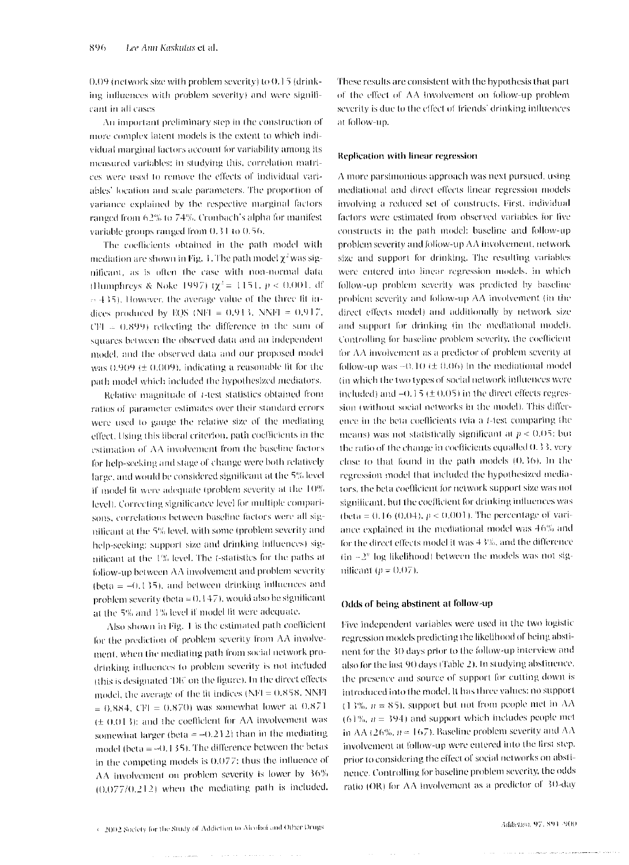0.09 (network size with problem severity) to 0.15 (drinking influences with problem severity) and were significant in all cases

An important preliminary step in the construction of more complex latent models is the extent to which individual marginal factors account for variability among its measured variables: in studying this, correlation matrices were used to remove the effects of individual variables' location and scale parameters. The proportion of variance explained by the respective marginal factors ranged from 62% to 74%. Cronbach's alpha for manifest variable groups ranged from 0.31 to 0.56.

The coefficients obtained in the path model with mediation are shown in Fig. 1. The path model  $\chi^2$  was significant, as is often the case with non-normal data (Humphreys & Noke 1997)  $(\chi^2 = 1151, p < 0.001, df)$ = 435). However, the average value of the three lit indices produced by EQS (NFI =  $0.913$ , NNFI =  $0.917$ .  $CH = 0.899$ ) reflecting the difference in the sum of squares between the observed data and an independent model, and the observed data and our proposed model was  $0.909$  ( $\pm$  0.009), indicating a reasonable fit for the path model which included the hypothesized mediators.

Relative magnitude of *t*-test statistics obtained from ratios of parameter estimates over their standard errors were used to gauge the relative size of the mediating effect. Using this liberal criterion, path coefficients in the estimation of AA involvement from the baseline factors for help-seeking and stage of change were both relatively large, and would be considered significant at the 5% level if model fit were adequate tproblem severity at the 10% level). Correcting significance level for multiple comparisons, correlations between baseline factors were all significant at the 5% level, with some (problem severity and help-seeking; support size and drinking influences) significant at the 1% level. The t-statistics for the paths at follow-up between AA involvement and problem severity (beta  $= -0.135$ ), and between drinking influences and problem severity (beta =  $0.147$ ), would also be significant at the 5% and 1% level if model fit were adequate.

Also shown in Fig. 1 is the estimated path coefficient for the prediction of problem severity from AA involvement, when the mediating path from social network prodrinking influences to problem severity is not included (this is designated 'DE' on the figure). In the direct effects model, the average of the fit indices  $(NFI = 0.858, NNFI)$  $= 0.884$ , CFI  $= 0.870$ ) was somewhat lower at 0.871 (± 0.013); and the coefficient for AA involvement was somewhat larger (beta =  $-0.212$ ) than in the mediating model (beta =  $-0.135$ ). The difference between the betas in the competing models is 0.077; thus the influence of AA involvement on problem severity is lower by 36%  $(0.077/0.212)$  when the mediating path is included.

These results are consistent with the hypothesis that part of the effect of AA involvement on follow-up problem severity is due to the effect of friends' drinking influences at follow-up.

#### Replication with linear regression

A more parsimonious approach was next pursued, using mediational and direct effects linear regression models involving a reduced set of constructs. First, individual factors were estimated from observed variables for five constructs in the path model: baseline and follow-up problem severity and follow-up AA involvement, network size and support for drinking. The resulting variables were entered into linear regression models, in which follow-up problem severity was predicted by baseline problem severity and follow-up AA involvement (in the direct effects model) and additionally by network size and support for drinking (in the mediational model). Controlling for baseline problem severity, the coefficient for AA involvement as a predictor of problem severity at follow-up was  $-0.10$  ( $\pm$  0.06) in the mediational model (in which the two types of social network influences were included) and  $-0.15$  ( $\pm$  0.05) in the direct effects regression (without social networks in the model). This difference in the beta coefficients tvia a t-test comparing the means) was not statistically significant at  $p < 0.05$ ; but the ratio of the change in coefficients equalled 0.33, very close to that found in the path models (0.36). In the regression model that included the hypothesized mediators, the beta coefficient for network support size was not significant, but the coefficient for drinking influences was (beta = 0.16 (0.04),  $p < 0.001$ ). The percentage of variance explained in the mediational model was 46% and for the direct effects model it was 43%, and the difference  $(in -2^* log$  likelihood) between the models was not significant ( $p = 0.07$ ).

#### Odds of being abstinent at follow-up

Five independent variables were used in the two logistic regression models predicting the likelihood of being abstinent for the 30 days prior to the follow-up interview and also for the last 90 days (Table 2). In studying abstinence, the presence and source of support for cutting down is introduced into the model. It has three values: no support (13%,  $n = 85$ ), support but not from people met in  $AA$  $(61\%$ ,  $n = 394)$  and support which includes people met in AA (26%,  $n = 167$ ). Baseline problem severity and AA involvement at follow-up were entered into the first step. prior to considering the effect of social networks on abstinence. Controlling for baseline problem severity, the odds ratio (OR) for AA involvement as a predictor of 30-day

 $\hat{z}$  is a similar constant of

 $\mathcal{O}(10^{-10})$  , and  $\mathcal{O}(10^{-10})$  . The mass of  $\mathcal{O}(10^{-10})$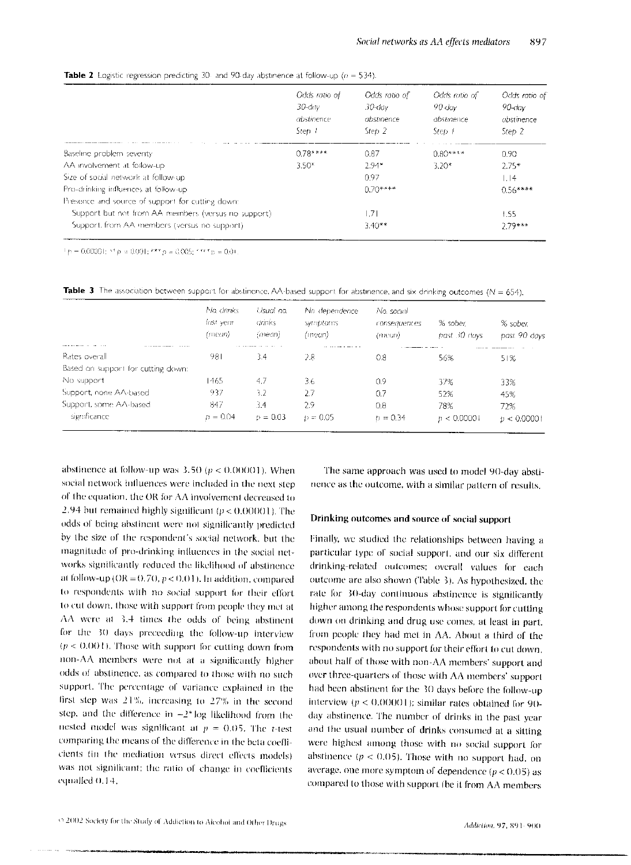| <b>Table 2</b> Logistic regression predicting 30 and 90 day abstinence at follow-up ( $n = 534$ ). |
|----------------------------------------------------------------------------------------------------|
|----------------------------------------------------------------------------------------------------|

|                                                     | Odds ratio of<br>30-day<br>abstinence<br>Step I | Odds ratio of<br>30-day<br>abstinence<br>Step 2 | Odds ratio of<br>90 dav<br>abstmence<br>Step 1 | Odds ratio of<br>90-dav<br>abstinence<br>Step 2 |
|-----------------------------------------------------|-------------------------------------------------|-------------------------------------------------|------------------------------------------------|-------------------------------------------------|
| Baseline problem seventy                            | $0.78***$                                       | 0.87                                            | $0.80***$                                      | 0.90                                            |
| AA involvement at follow-up                         | 3.50*                                           | $2.94*$                                         | $320*$                                         | $2.75*$                                         |
| Size of social network at follow-up                 |                                                 | 0.97                                            |                                                | $ $   4                                         |
| Pro-drinking influences at follow-up                |                                                 | $0.70***$                                       |                                                | $0.56***$                                       |
| Presence and source of support for cutting down:    |                                                 |                                                 |                                                |                                                 |
| Support but not from AA members (versus no support) |                                                 | $\vert .7 \vert$                                |                                                | 1.55                                            |
| Support, from AA members (versus no support)        |                                                 | $3.40***$                                       |                                                | $779***$                                        |

 ${}^{1}P = 0.00001; {}^{1}P P = 0.001; {}^{p+q}P P = 0.005; {}^{p+q}P P = 0.01;$ 

Table 3 The association between support for abstinence, AA-based support for abstinence, and six drinking outcomes (N = 654).

|                                    | No. danks<br>last year<br>(mean) | Usual no.<br>arinks<br>(mean) | No dependence<br>symptoms<br>(mean) | No. social<br>consequences<br>(mean). | % sober<br>past 30 days | % sober.<br>past 90 days |
|------------------------------------|----------------------------------|-------------------------------|-------------------------------------|---------------------------------------|-------------------------|--------------------------|
| Rates overall                      | 981                              | 3.4                           | 2.8                                 | 0.8                                   | 56%                     | 51%                      |
| Based on support for cutting down: |                                  |                               |                                     |                                       |                         |                          |
| No support.                        | -465                             | 4.7                           | 3.6                                 | 0.9                                   | 37%                     | 33%                      |
| Support, none AA-based             | 937                              | 3.2                           | 2.7                                 | 0.7                                   | 52%                     | 45%                      |
| Support, some AA-based             | 847                              | 34                            | 2.9                                 | 0.8                                   | 78%                     | 72%                      |
| significance                       | $D = 0.04$                       | $v = 0.03$                    | $p = 0.05$                          | $p = 0.34$                            | p < 0.00001             | p < 0.00001              |

abstinence at follow-up was 3.50 ( $p < 0.00001$ ). When social network influences were included in the next step of the equation, the OR for AA involvement decreased to 2.94 but remained highly significant  $(p < 0.00001)$ . The odds of being abstinent were not significantly predicted by the size of the respondent's social network, but the magnitude of pro-drinking influences in the social networks significantly reduced the likelihood of abstinence at follow-up ( $OR = 0.70$ ,  $p < 0.01$ ). In addition, compared to respondents with no social support for their effort to cut down, those with support from people they met at AA were at 3.4 times the odds of being abstinent for the 30 days preceeding the follow-up interview  $(p < 0.001)$ . Those with support for cutting down from non-AA members were not at a significantly higher odds of abstinence, as compared to those with no such support. The percentage of variance explained in the first step was 21%, increasing to 27% in the second step, and the difference in  $-2$ <sup>\*</sup> log likelihood from the nested model was significant at  $p = 0.05$ . The t-test comparing the means of the difference in the beta coefficients (in the mediation versus direct effects models) was not significant; the ratio of change in coefficients equalled 0.14.

The same approach was used to model 90-day abstinence as the outcome, with a similar pattern of results.

#### Drinking outcomes and source of social support

Finally, we studied the relationships between having a particular type of social support, and our six different drinking-related outcomes; overall values for each outcome are also shown (Table 3). As hypothesized, the rate for 30-day continuous abstinence is significantly higher among the respondents whose support for cutting down on drinking and drug use comes, at least in part, from people they had met in AA. About a third of the respondents with no support for their effort to cut down, about half of those with non-AA members' support and over three-quarters of those with AA members' support had been abstinent for the 30 days before the follow-up interview ( $p < 0.00001$ ); similar rates obtained for 90day abstinence. The number of drinks in the past year and the usual number of drinks consumed at a sitting were highest among those with no social support for abstinence ( $p < 0.05$ ). Those with no support had, on average, one more symptom of dependence  $(p < 0.05)$  as compared to those with support (be it from AA members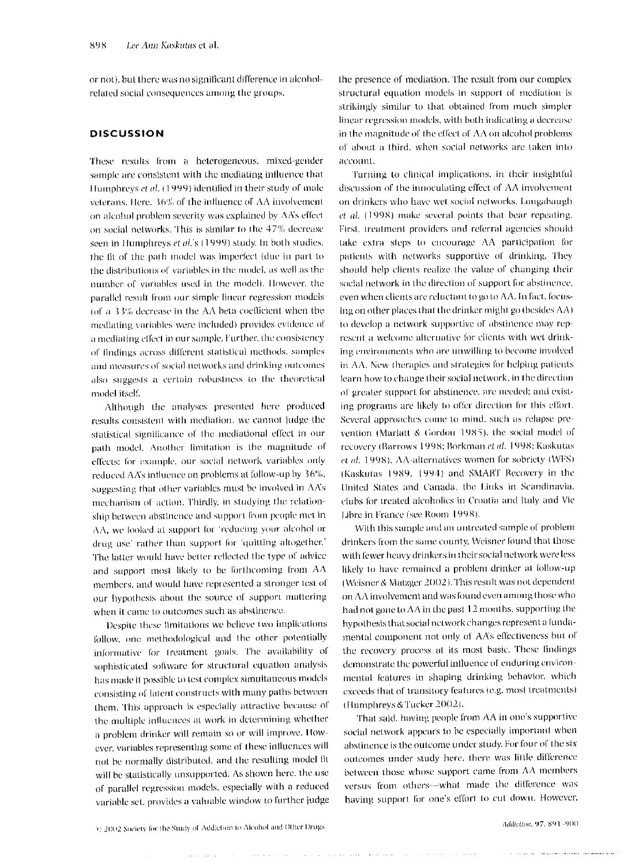or not), but there was no significant difference in alcoholrelated social consequences among the groups.

## **DISCUSSION**

These results from a heterogeneous, mixed-gender sample are consistent with the mediating influence that Humphreys et al. (1999) identified in their study of male veterans. Here, 36% of the influence of AA involvement on alcohol problem severity was explained by AA's effect on social networks. This is similar to the 47% decrease seen in Humphreys et al.'s (1999) study. In both studies, the fit of the path model was imperfect (due in part to the distributions of variables in the model, as well as the number of variables used in the model). However, the parallel result from our simple linear regression models (of a  $33\%$  decrease in the AA beta coefficient when the mediating variables were included) provides evidence of a mediating effect in our sample. Further, the consistency of findings across different statistical methods, samples and measures of social networks and drinking outcomes also suggests a certain robustness to the theoretical model itself.

Although the analyses presented here produced results consistent with mediation, we cannot judge the statistical significance of the mediational effect in our path model. Another limitation is the magnitude of effects: for example, our social network variables only reduced AA's influence on problems at follow-up by 36%. suggesting that other variables must be involved in AA's mechanism of action. Thirdly, in studying the relationship between abstinence and support from people met in AA, we looked at support for 'reducing your alcohol or drug use' rather than support for 'quitting altogether.' The latter would have better reflected the type of advice and support most likely to be forthcoming from AA members, and would have represented a stronger test of our hypothesis about the source of support mattering when it came to outcomes such as abstinence.

Despite these limitations we believe two implications follow, one methodological and the other potentially informative for treatment goals. The availability of sophisticated software for structural equation analysis has made it possible to test complex simultaneous models consisting of latent constructs with many paths between them. This approach is especially attractive because of the multiple influences at work in determining whether a problem drinker will remain so or will improve. However, variables representing some of these influences will not be normally distributed, and the resulting model fit will be statistically unsupported. As shown here, the use of parallel regression models, especially with a reduced variable set, provides a valuable window to further judge

the presence of mediation. The result from our complex structural equation models in support of mediation is strikingly similar to that obtained from much simpler linear regression models, with both indicating a decrease in the magnitude of the effect of AA on alcohol problems of about a third, when social networks are taken into account.

Turning to clinical implications, in their insightful discussion of the innoculating effect of AA involvement on drinkers who have wet social networks. Longabaugh et al. (1998) make several points that bear repeating. First, treatment providers and referral agencies should take extra steps to encourage AA participation for patients with networks supportive of drinking. They should help clients realize the value of changing their social network in the direction of support for abstinence. even when clients are reluctant to go to AA. In fact, focusing on other places that the drinker might go (besides AA) to develop a network supportive of abstinence may represent a welcome alternative for clients with wet drinking environments who are unwilling to become involved in AA. New therapies and strategies for helping patients learn how to change their social network, in the direction of greater support for abstinence, are needed; and existing programs are likely to offer direction for this effort. Several approaches come to mind, such as relapse prevention (Marlatt & Gordon 1985), the social model of recovery (Barrows 1998; Borkman et al. 1998; Kaskutas et al. 1998), AA-alternatives women for sobriety (WFS) (Kaskutas 1989, 1994) and SMART Recovery in the United States and Canada, the Links in Scandinavia, clubs for treated alcoholics in Croatia and Italy and Vie Libre in France (see Room 1998).

With this sample and an untreated sample of problem drinkers from the same county, Weisner found that those with fewer heavy drinkers in their social network were less likely to have remained a problem drinker at follow-up (Weisner & Matzger 2002). This result was not dependent on AA involvement and was found even among those who had not gone to AA in the past 12 months, supporting the hypothesis that social network changes represent a fundamental component not only of AA's effectiveness but of the recovery process at its most basic. These findings demonstrate the powerful influence of enduring environmental features in shaping drinking behavior, which exceeds that of transitory features (e.g. most treatments) (Humphreys & Tucker 2002).

That said, having people from AA in one's supportive social network appears to be especially important when abstinence is the outcome under study. For four of the six outcomes under study here, there was little difference between those whose support came from AA members versus from others---what made the difference was having support for one's effort to cut down. However,

المتمالي والتجاري ولاعتبار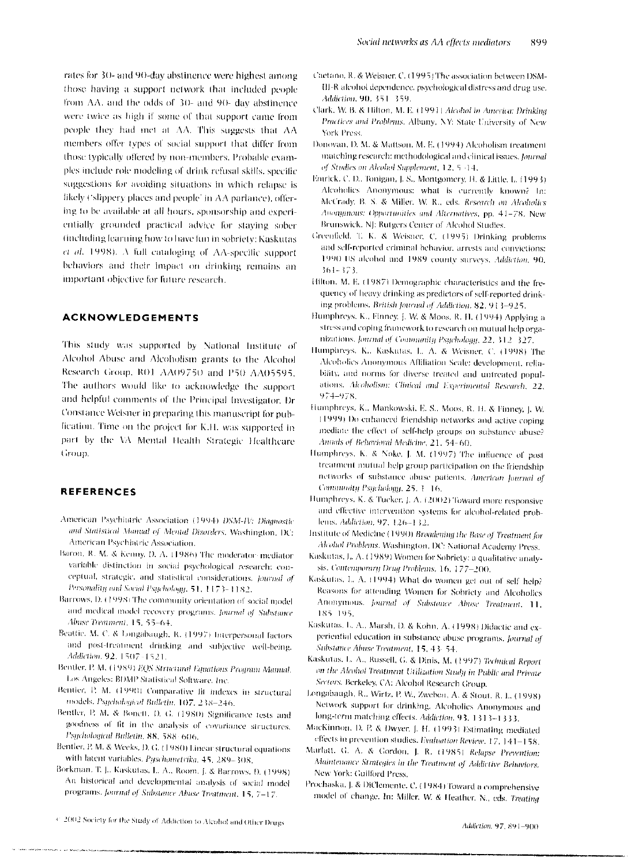rates for 30- and 90-day abstinence were highest among those having a support network that included people from AA, and the odds of 30- and 90- day abstinence were twice as high if some of that support came from people they had met at AA. This suggests that AA members offer types of social support that differ from those typically offered by non-members. Probable examples include role modeling of drink refusal skills, specific suggestions for avoiding situations in which relapse is likely ('slippery places and people' in AA parlance), offering to be available at all hours, sponsorship and experientially grounded practical advice for staying sober

(including learning how to have fun in sobriety; Kaskutas et al. 1998). A full cataloging of AA-specific support behaviors and their impact on drinking remains an important objective for future research.

## **ACKNOWLEDGEMENTS**

This study was supported by National Institute of Alcohol Abuse and Alcoholism grants to the Alcohol Research Group, RO1 AA09750 and P50 AA05595. The authors would like to acknowledge the support and helpful comments of the Principal Investigator. Dr Constance Weisner in preparing this manuscript for pubfication. Time on the project for K.H. was supported in part by the VA Mental Health Strategic Healthcare Group.

## **REFERENCES**

- American Psychiatric Association (1994) DSM-IV: Diagnostic and Statistical Manual of Mental Disorders. Washington, DC: American Psychiatric Association.
- Baron, R. M. & Kenny, D. A. (1986) The moderator mediator variable distinction in social psychological research: conceptual, strategic, and statistical considerations, Journal of Personality and Social Psychology, 51, 1173-1182.
- Barrows, D. (1998) The community orientation of social model and medical model recovery programs. Journal of Substance Abuse Treatment, 15, 55-64.
- Beattie, M. C. & Longabaugh, R. (1997) Interpersonal factors and post-treatment drinking and subjective well-being. Addiction, 92, 1507-1521.
- Bentler, P. M. (1989) EQS Structural Equations Program Manual. Los Angeles: BDMP Statistical Software. Inc.
- Bentler, P. M. (1990) Comparative fit indexes in structural models. Psychological Bulletin, 107, 238-246.
- Bentler, P. M. & Bonett, D. G. (1980) Significance tests and goodness of fit in the analysis of covariance structures. Psychological Bulletin, 88, 588-606.
- Bentler, P. M. & Weeks, D. G. (1980) Linear structural equations with latent variables. Pyschometrika. 45, 289-308.
- Borkman, T. J., Kaskutas, L. A., Room, J. & Barrows, D. (1998) An historical and developmental analysis of social model programs. Journal of Substance Abuse Treatment, 15, 7-17.
- Caetano, R. & Weisner, C. (1995) The association between DSM-III-R alcohol dependence, psychological distress and drug use. Addiction, 90, 351-359.
- Clark, W. B. & Hilton, M. E. (1991) Alcohol in America: Drinking Practices and Problems, Albany, NY: State University of New York Press.
- Donovan, D. M. & Mattson, M. E. (1994) Alcoholism treatment matching research: methodological and clinical issues. Journal of Studies on Alcohol Supplement, 12, 5 -14.
- Entrick, C. D., Tonigan, J. S., Montgomery, H. & Little, L. (1993). Alcoholics Anonymous: what is currently known? In: McCrady, B. S. & Miller, W. R., eds. Research on Alcoholics Anonymous: Opportunities and Alternatives, pp. 41-78. New Brunswick. NJ: Rutgers Center of Alcohol Studies.
- Greenfield, T. K. & Weisner, C. (1995) Drinking problems and self-reported criminal behavior, arrests and convictions: 1990 US alcohol and 1989 county surveys. Addiction, 90,  $361 - 373.$
- Hilton, M. E. (1987) Demographic characteristics and the frequency of heavy drinking as predictors of self-reported drinking problems. British Journal of Addiction. 82, 913-925.
- Humphreys, K., Finney, J. W. & Moos, R. H. (1994) Applying a stress and coping framework to research on mutual help organizations, Journal of Community Psychology, 22, 312-327.
- Humphreys, K., Kaskutas, L. A. & Weisner, C. (1998) The Alcoholics Anonymous Affiliation Scale: development, reliability, and norms for diverse treated and untreated populations. Alcoholism: Clinical and Experimental Research, 22, 974-978
- Humphreys, K., Mankowski, E. S., Moos, R. H. & Finney, J. W. (1999) Do enhanced friendship networks and active coping mediate the effect of self-help groups on substance abuse? Annals of Behavioral Medicine, 21, 54-60.
- Humphreys, K. & Noke, J. M. (1997) The influence of post treatment mutual help group participation on the friendship networks of substance abuse patients. American Journal of Community Psychology, 25, 1-16.
- Humphreys, K. & Tucker, J. A. (2002) Toward more responsive and effective intervention systems for alcohol-related problems. Addiction, 97, 126-132.
- Institute of Medicine (1990) Broadening the Base of Treatment for Alcohol Problems. Washington, DC: National Academy Press.
- Kaskutas, L. A. (1989) Women for Sobriety: a qualitative analysis. Contemporary Drug Problems, 16, 177-200.
- Kaskutas, L. A. (1994) What do women get out of self help? Reasons for attending Women for Sobriety and Alcoholics Anonymous. Journal of Substance Abuse Treatment. 11. 185 195.
- Kaskutas, L. A., Marsh, D. & Kohn, A. (1998) Didactic and experiential education in substance abuse programs. Journal of Substance Abuse Treatment, 15, 43-54.
- Kaskutas, L. A., Russell, G. & Dinis, M. (1997) Technical Report on the Alcohol Treatment Utilization Study in Public and Private Sectors. Berkeley, CA: Alcohol Research Group.
- Longabaugh, R., Wirtz, P. W., Zweben, A. & Stout, R. L. (1998) Network support for drinking. Alcoholics Anonymous and long-term matching effects. Addiction, 93, 1313-1333.
- MacKinnon, D. P. & Dwyer, J. H. (1993) Estimating mediated effects in prevention studies. Evaluation Review. 17, 141-158.
- Marlatt, G. A. & Gordon, J. R. (1985) Relapse Prevention: Maintenance Strategies in the Treatment of Addictive Behaviors. New York: Guilford Press,
- Prochaska, J. & DiClemente, C. (1984) Toward a comprehensive model of change. In: Miller, W. & Heather, N., eds. Treating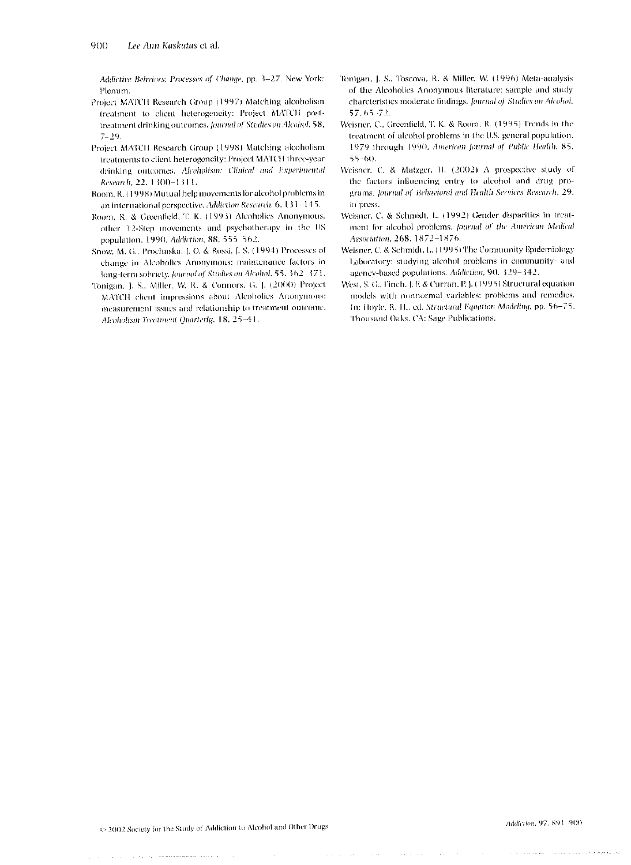Addictive Behviors: Processes of Change, pp. 3-27. New York: Plenum.

- Project MATCH Research Group (1997) Matching alcoholism treatment to client heterogeneity: Project MATCH posttreatment drinking outcomes. Journal of Studies on Alcohol, 58,  $7 - 29$
- Project MATCH Research Group (1998) Matching alcoholism treatments to client heterogeneity: Project MATCH three-year drinking outcomes. Alcoholism: Clinical and Experimental Research, 22, 1300-1311.
- Room, R. (1998) Mutual help movements for alcohol problems in an international perspective. Addiction Research, 6, 131-145.
- Room, R. & Greenfield, T. K. (1993) Alcoholics Anonymous, other 12-Step inovements and psychotherapy in the US population, 1990. Addiction, 88, 555-562.
- Snow, M. G., Prochaska, J. O. & Rossi, J. S. (1994) Processes of change in Alcoholics Anonymous: maintenance factors in long-term sobriety. Journal of Studies on Alcohol, 55, 362-371.
- Tonigan, J. S., Miller, W. R. & Connors, G. J. (2000) Project MATCH client impressions about Alcoholics Anonymous: measurement issues and relationship to treatment outcome. Alcoholism Treatment Quarterly, 18, 25-41.
- Tonigan, J. S., Toscova, R. & Miller, W. (1996) Meta-analysis of the Alcoholics Anonymous literature: sample and study charcteristics moderate findings. Journal of Studies on Alcohol. 57.65.72.
- Weisner, C., Greenfield, T. K. & Room, R. (1995) Trends in the treatment of alcohol problems in the U.S. general population. 1979 through 1990, American Journal of Public Health, 85.  $55 - 60$
- Weisner, C. & Matzger, H. (2002) A prospective study of the factors influencing entry to alcohol and drug programs. Journal of Behavioral and Health Services Research, 29. in press.
- Weisner, C. & Schmidt, L. (1992) Gender disparities in treatment for alcohol problems. Journal of the American Medical Association, 268. 1872-1876.
- Weisner, C. & Schmidt, L. (1995) The Community Epidemiology Laboratory: studying alcohol problems in community- and agency-based populations. Addiction, 90, 329-342.
- West, S. G., Finch, J. F. & Curran, P. J. (1995) Structural equation models with nonnormal variables; problems and remedies. In: Hoyle, R. H., ed. Structural Equation Modeling, pp. 56-75. Thousand Oaks, CA: Sage Publications.

 $\hat{\gamma}_{\rm eff}$  ,  $\hat{\gamma}_{\rm eff}$  ,  $\hat{\gamma}_{\rm eff}$  , and an extended tractories ( ) we see ( ) we

 $\sim 10^{-1}$ 

 $\alpha$  ,  $\alpha$  ,  $\alpha$